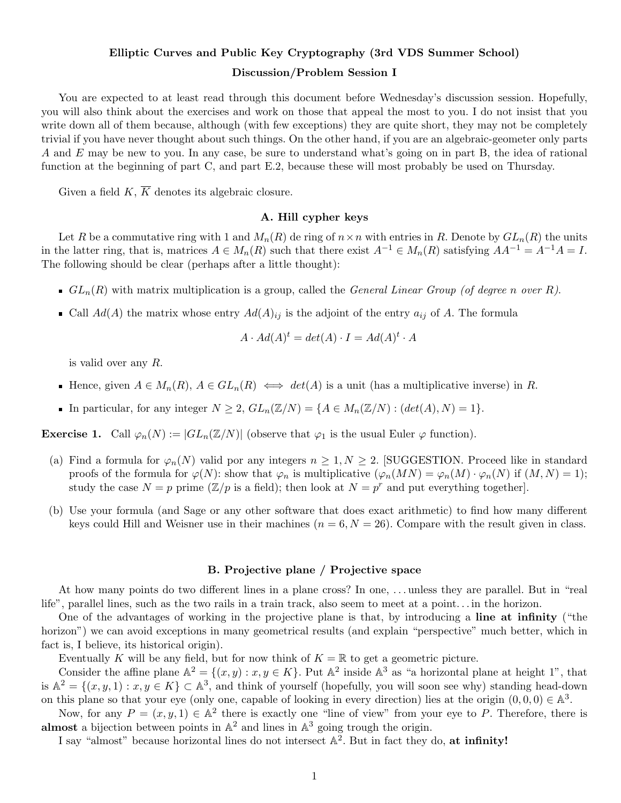# Elliptic Curves and Public Key Cryptography (3rd VDS Summer School) Discussion/Problem Session I

You are expected to at least read through this document before Wednesday's discussion session. Hopefully, you will also think about the exercises and work on those that appeal the most to you. I do not insist that you write down all of them because, although (with few exceptions) they are quite short, they may not be completely trivial if you have never thought about such things. On the other hand, if you are an algebraic-geometer only parts A and E may be new to you. In any case, be sure to understand what's going on in part B, the idea of rational function at the beginning of part C, and part E.2, because these will most probably be used on Thursday.

Given a field  $K$ ,  $\overline{K}$  denotes its algebraic closure.

# A. Hill cypher keys

Let R be a commutative ring with 1 and  $M_n(R)$  de ring of  $n \times n$  with entries in R. Denote by  $GL_n(R)$  the units in the latter ring, that is, matrices  $A \in M_n(R)$  such that there exist  $A^{-1} \in M_n(R)$  satisfying  $AA^{-1} = A^{-1}A = I$ . The following should be clear (perhaps after a little thought):

- GL<sub>n</sub>(R) with matrix multiplication is a group, called the General Linear Group (of degree n over R).
- Call  $Ad(A)$  the matrix whose entry  $Ad(A)_{ij}$  is the adjoint of the entry  $a_{ij}$  of A. The formula

$$
A \cdot Ad(A)^t = det(A) \cdot I = Ad(A)^t \cdot A
$$

is valid over any R.

- Hence, given  $A \in M_n(R)$ ,  $A \in GL_n(R) \iff det(A)$  is a unit (has a multiplicative inverse) in R.
- In particular, for any integer  $N \geq 2$ ,  $GL_n(\mathbb{Z}/N) = \{A \in M_n(\mathbb{Z}/N) : (det(A), N) = 1\}.$

**Exercise 1.** Call  $\varphi_n(N) := |GL_n(\mathbb{Z}/N)|$  (observe that  $\varphi_1$  is the usual Euler  $\varphi$  function).

- (a) Find a formula for  $\varphi_n(N)$  valid por any integers  $n \geq 1, N \geq 2$ . [SUGGESTION. Proceed like in standard proofs of the formula for  $\varphi(N)$ : show that  $\varphi_n$  is multiplicative  $(\varphi_n(MN) = \varphi_n(M) \cdot \varphi_n(N))$  if  $(M, N) = 1)$ ; study the case  $N = p$  prime  $(\mathbb{Z}/p)$  is a field); then look at  $N = p^r$  and put everything together.
- (b) Use your formula (and Sage or any other software that does exact arithmetic) to find how many different keys could Hill and Weisner use in their machines  $(n = 6, N = 26)$ . Compare with the result given in class.

#### B. Projective plane / Projective space

At how many points do two different lines in a plane cross? In one, . . . unless they are parallel. But in "real life", parallel lines, such as the two rails in a train track, also seem to meet at a point. . . in the horizon.

One of the advantages of working in the projective plane is that, by introducing a line at infinity ("the horizon") we can avoid exceptions in many geometrical results (and explain "perspective" much better, which in fact is, I believe, its historical origin).

Eventually K will be any field, but for now think of  $K = \mathbb{R}$  to get a geometric picture.

Consider the affine plane  $\mathbb{A}^2 = \{(x, y) : x, y \in K\}$ . Put  $\mathbb{A}^2$  inside  $\mathbb{A}^3$  as "a horizontal plane at height 1", that is  $\mathbb{A}^2 = \{(x, y, 1) : x, y \in K\} \subset \mathbb{A}^3$ , and think of yourself (hopefully, you will soon see why) standing head-down on this plane so that your eye (only one, capable of looking in every direction) lies at the origin  $(0,0,0) \in \mathbb{A}^3$ .

Now, for any  $P = (x, y, 1) \in \mathbb{A}^2$  there is exactly one "line of view" from your eye to P. Therefore, there is almost a bijection between points in  $\mathbb{A}^2$  and lines in  $\mathbb{A}^3$  going trough the origin.

I say "almost" because horizontal lines do not intersect  $\mathbb{A}^2$ . But in fact they do, at infinity!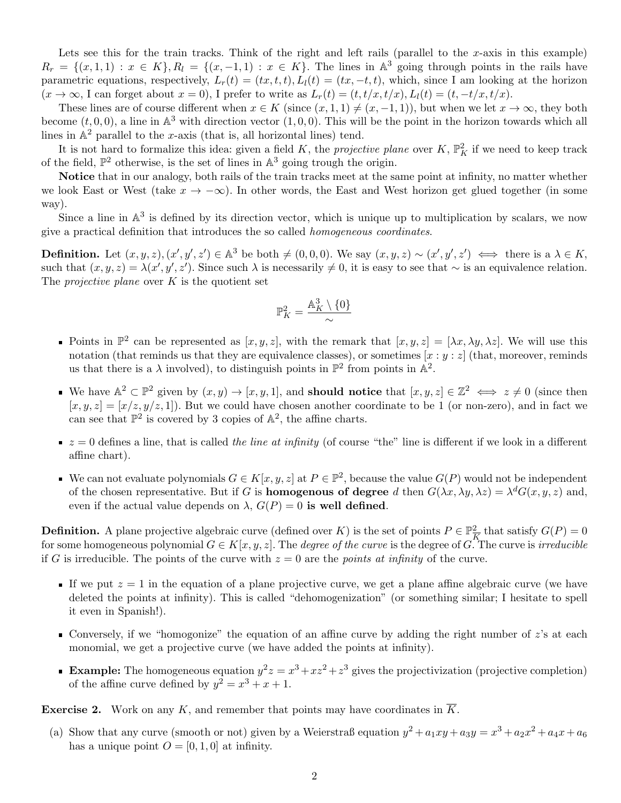Lets see this for the train tracks. Think of the right and left rails (parallel to the x-axis in this example)  $R_r = \{(x,1,1) : x \in K\}$ ,  $R_l = \{(x,-1,1) : x \in K\}$ . The lines in  $\mathbb{A}^3$  going through points in the rails have parametric equations, respectively,  $L_r(t) = (tx, t, t)$ ,  $L_l(t) = (tx, -t, t)$ , which, since I am looking at the horizon  $(x \to \infty)$ , I can forget about  $x = 0$ ), I prefer to write as  $L_r(t) = (t, t/x, t/x)$ ,  $L_l(t) = (t, -t/x, t/x)$ .

These lines are of course different when  $x \in K$  (since  $(x, 1, 1) \neq (x, -1, 1)$ ), but when we let  $x \to \infty$ , they both become  $(t, 0, 0)$ , a line in  $\mathbb{A}^3$  with direction vector  $(1, 0, 0)$ . This will be the point in the horizon towards which all lines in  $\mathbb{A}^2$  parallel to the x-axis (that is, all horizontal lines) tend.

It is not hard to formalize this idea: given a field K, the projective plane over K,  $\mathbb{P}^2$  if we need to keep track of the field,  $\mathbb{P}^2$  otherwise, is the set of lines in  $\mathbb{A}^3$  going trough the origin.

Notice that in our analogy, both rails of the train tracks meet at the same point at infinity, no matter whether we look East or West (take  $x \to -\infty$ ). In other words, the East and West horizon get glued together (in some way).

Since a line in  $\mathbb{A}^3$  is defined by its direction vector, which is unique up to multiplication by scalars, we now give a practical definition that introduces the so called homogeneous coordinates.

**Definition.** Let  $(x, y, z), (x', y', z') \in \mathbb{A}^3$  be both  $\neq (0, 0, 0)$ . We say  $(x, y, z) \sim (x', y', z') \iff$  there is a  $\lambda \in K$ , such that  $(x, y, z) = \lambda(x', y', z')$ . Since such  $\lambda$  is necessarily  $\neq 0$ , it is easy to see that  $\sim$  is an equivalence relation. The *projective plane* over  $K$  is the quotient set

$$
\mathbb{P}^2_K=\frac{\mathbb{A}_K^3\setminus\{0\}}{\sim}
$$

- Points in  $\mathbb{P}^2$  can be represented as  $[x, y, z]$ , with the remark that  $[x, y, z] = [\lambda x, \lambda y, \lambda z]$ . We will use this notation (that reminds us that they are equivalence classes), or sometimes  $[x : y : z]$  (that, moreover, reminds us that there is a  $\lambda$  involved), to distinguish points in  $\mathbb{P}^2$  from points in  $\mathbb{A}^2$ .
- We have  $\mathbb{A}^2 \subset \mathbb{P}^2$  given by  $(x, y) \to [x, y, 1]$ , and **should notice** that  $[x, y, z] \in \mathbb{Z}^2 \iff z \neq 0$  (since then  $[x, y, z] = [x/z, y/z, 1]$ . But we could have chosen another coordinate to be 1 (or non-zero), and in fact we can see that  $\mathbb{P}^2$  is covered by 3 copies of  $\mathbb{A}^2$ , the affine charts.
- $z = 0$  defines a line, that is called the line at infinity (of course "the" line is different if we look in a different affine chart).
- We can not evaluate polynomials  $G \in K[x, y, z]$  at  $P \in \mathbb{P}^2$ , because the value  $G(P)$  would not be independent of the chosen representative. But if G is **homogenous of degree** d then  $G(\lambda x, \lambda y, \lambda z) = \lambda^d G(x, y, z)$  and, even if the actual value depends on  $\lambda$ ,  $G(P) = 0$  is well defined.

**Definition.** A plane projective algebraic curve (defined over K) is the set of points  $P \in \mathbb{P}^2$  $\frac{2}{K}$  that satisfy  $G(P) = 0$ for some homogeneous polynomial  $G \in K[x, y, z]$ . The *degree of the curve* is the degree of G. The curve is *irreducible* if G is irreducible. The points of the curve with  $z = 0$  are the *points at infinity* of the curve.

- If we put  $z = 1$  in the equation of a plane projective curve, we get a plane affine algebraic curve (we have deleted the points at infinity). This is called "dehomogenization" (or something similar; I hesitate to spell it even in Spanish!).
- Conversely, if we "homogonize" the equation of an affine curve by adding the right number of  $z$ 's at each monomial, we get a projective curve (we have added the points at infinity).
- **Example:** The homogeneous equation  $y^2z = x^3 + xz^2 + z^3$  gives the projectivization (projective completion) of the affine curve defined by  $y^2 = x^3 + x + 1$ .

**Exercise 2.** Work on any K, and remember that points may have coordinates in  $\overline{K}$ .

(a) Show that any curve (smooth or not) given by a Weierstraß equation  $y^2 + a_1xy + a_3y = x^3 + a_2x^2 + a_4x + a_6$ has a unique point  $O = [0, 1, 0]$  at infinity.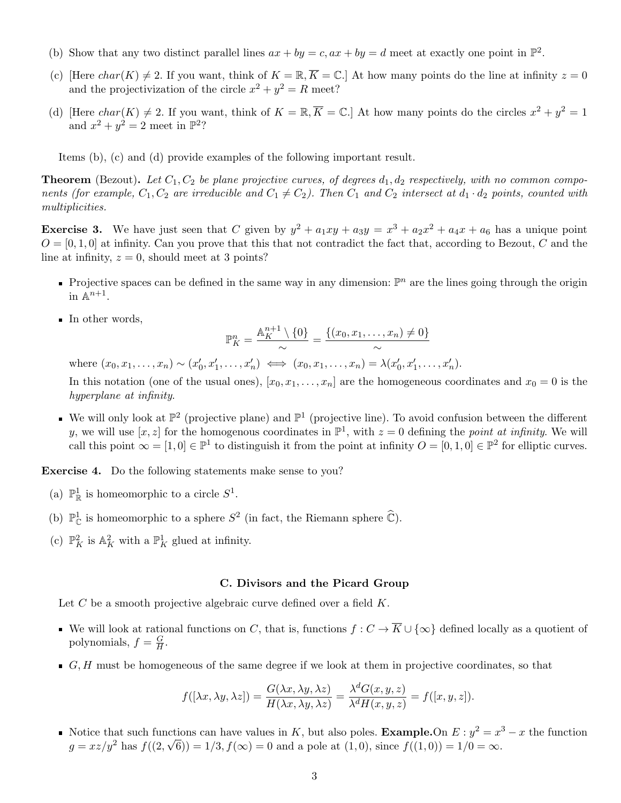- (b) Show that any two distinct parallel lines  $ax + by = c$ ,  $ax + by = d$  meet at exactly one point in  $\mathbb{P}^2$ .
- (c) [Here  $char(K) \neq 2$ . If you want, think of  $K = \mathbb{R}, \overline{K} = \mathbb{C}$ .] At how many points do the line at infinity  $z = 0$ and the projectivization of the circle  $x^2 + y^2 = R$  meet?
- (d) [Here  $char(K) \neq 2$ . If you want, think of  $K = \mathbb{R}, \overline{K} = \mathbb{C}$ .] At how many points do the circles  $x^2 + y^2 = 1$ and  $x^2 + y^2 = 2$  meet in  $\mathbb{P}^2$ ?

Items (b), (c) and (d) provide examples of the following important result.

**Theorem** (Bezout). Let  $C_1, C_2$  be plane projective curves, of degrees  $d_1, d_2$  respectively, with no common components (for example,  $C_1, C_2$  are irreducible and  $C_1 \neq C_2$ ). Then  $C_1$  and  $C_2$  intersect at  $d_1 \cdot d_2$  points, counted with multiplicities.

**Exercise 3.** We have just seen that C given by  $y^2 + a_1xy + a_3y = x^3 + a_2x^2 + a_4x + a_6$  has a unique point  $O = [0, 1, 0]$  at infinity. Can you prove that this that not contradict the fact that, according to Bezout, C and the line at infinity,  $z = 0$ , should meet at 3 points?

- Projective spaces can be defined in the same way in any dimension:  $\mathbb{P}^n$  are the lines going through the origin in  $\mathbb{A}^{n+1}$ .
- In other words,

$$
\mathbb{P}_K^n = \frac{\mathbb{A}_K^{n+1} \setminus \{0\}}{\sim} = \frac{\{(x_0, x_1, \dots, x_n) \neq 0\}}{\sim}
$$

where  $(x_0, x_1, ..., x_n) \sim (x'_0, x'_1, ..., x'_n) \iff (x_0, x_1, ..., x_n) = \lambda (x'_0, x'_1, ..., x'_n)$ .

In this notation (one of the usual ones),  $[x_0, x_1, \ldots, x_n]$  are the homogeneous coordinates and  $x_0 = 0$  is the hyperplane at infinity.

We will only look at  $\mathbb{P}^2$  (projective plane) and  $\mathbb{P}^1$  (projective line). To avoid confusion between the different y, we will use  $[x, z]$  for the homogenous coordinates in  $\mathbb{P}^1$ , with  $z = 0$  defining the *point at infinity*. We will call this point  $\infty = [1,0] \in \mathbb{P}^1$  to distinguish it from the point at infinity  $O = [0,1,0] \in \mathbb{P}^2$  for elliptic curves.

Exercise 4. Do the following statements make sense to you?

- (a)  $\mathbb{P}^1_{\mathbb{R}}$  is homeomorphic to a circle  $S^1$ .
- (b)  $\mathbb{P}^1_{\mathbb{C}}$  is homeomorphic to a sphere  $S^2$  (in fact, the Riemann sphere  $\widehat{\mathbb{C}}$ ).
- (c)  $\mathbb{P}^2_K$  is  $\mathbb{A}^2_K$  with a  $\mathbb{P}^1_K$  glued at infinity.

## C. Divisors and the Picard Group

Let  $C$  be a smooth projective algebraic curve defined over a field  $K$ .

- We will look at rational functions on C, that is, functions  $f: C \to \overline{K} \cup {\infty}$  defined locally as a quotient of polynomials,  $f = \frac{G}{H}$  $\frac{G}{H}$  .
- $G, H$  must be homogeneous of the same degree if we look at them in projective coordinates, so that

$$
f([\lambda x, \lambda y, \lambda z]) = \frac{G(\lambda x, \lambda y, \lambda z)}{H(\lambda x, \lambda y, \lambda z)} = \frac{\lambda^d G(x, y, z)}{\lambda^d H(x, y, z)} = f([x, y, z]).
$$

Notice that such functions can have values in K, but also poles. **Example.**On  $E: y^2 = x^3 - x$  the function  $g = xz/y^2$  has  $f((2,\sqrt{6})) = 1/3, f(\infty) = 0$  and a pole at  $(1,0)$ , since  $f((1,0)) = 1/0 = \infty$ .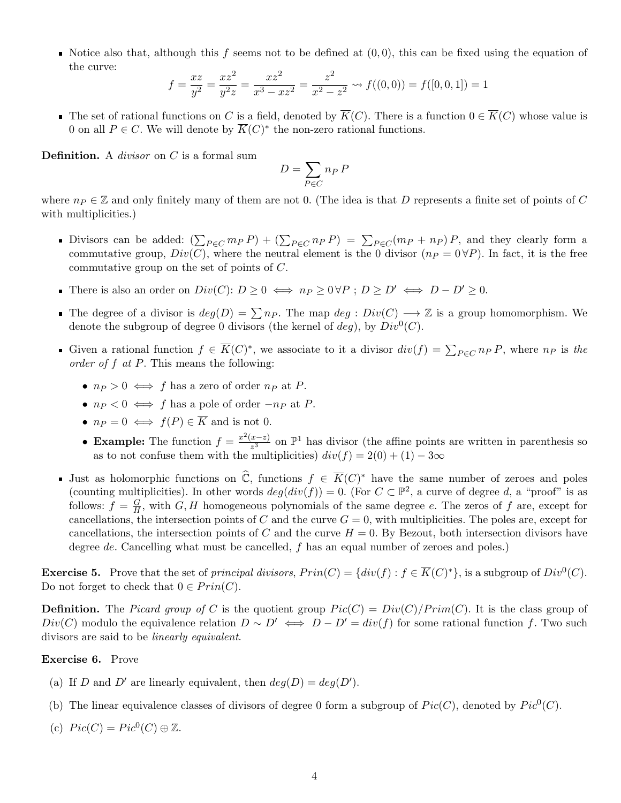Notice also that, although this f seems not to be defined at  $(0, 0)$ , this can be fixed using the equation of the curve:

$$
f = \frac{xz}{y^2} = \frac{xz^2}{y^2z} = \frac{xz^2}{x^3 - xz^2} = \frac{z^2}{x^2 - z^2} \rightsquigarrow f((0,0)) = f([0,0,1]) = 1
$$

■ The set of rational functions on C is a field, denoted by  $\overline{K}(C)$ . There is a function  $0 \in \overline{K}(C)$  whose value is 0 on all  $P \in C$ . We will denote by  $\overline{K}(C)^*$  the non-zero rational functions.

**Definition.** A *divisor* on  $C$  is a formal sum

$$
D=\sum_{P\in C} n_P\,P
$$

where  $n_P \in \mathbb{Z}$  and only finitely many of them are not 0. (The idea is that D represents a finite set of points of C with multiplicities.)

- Divisors can be added:  $(\sum_{P \in C} m_P P) + (\sum_{P \in C} n_P P) = \sum_{P \in C} (m_P + n_P) P$ , and they clearly form a commutative group,  $Div(C)$ , where the neutral element is the 0 divisor  $(n_P = 0 \forall P)$ . In fact, it is the free commutative group on the set of points of C.
- There is also an order on  $Div(C): D \geq 0 \iff np \geq 0 \forall P : D \geq D' \iff D D' \geq 0$ .
- The degree of a divisor is  $deg(D) = \sum n_P$ . The map  $deg : Div(C) \longrightarrow \mathbb{Z}$  is a group homomorphism. We denote the subgroup of degree 0 divisors (the kernel of  $deg$ ), by  $Div^0(C)$ .
- Given a rational function  $f \in \overline{K}(C)^*$ , we associate to it a divisor  $div(f) = \sum_{P \in C} n_P P$ , where  $n_P$  is the order of  $f$  at  $P$ . This means the following:
	- $n_P > 0 \iff f$  has a zero of order  $n_P$  at P.
	- $n_P < 0 \iff f$  has a pole of order  $-n_P$  at P.
	- $n_P = 0 \iff f(P) \in \overline{K}$  and is not 0.
	- Example: The function  $f = \frac{x^2(x-z)}{x^3}$  $\frac{x-z}{z^3}$  on  $\mathbb{P}^1$  has divisor (the affine points are written in parenthesis so as to not confuse them with the multiplicities)  $div(f) = 2(0) + (1) - 3\infty$
- Just as holomorphic functions on  $\widehat{\mathbb{C}}$ , functions  $f \in \overline{K}(C)^*$  have the same number of zeroes and poles (counting multiplicities). In other words  $deg(div(f)) = 0$ . (For  $C \subset \mathbb{P}^2$ , a curve of degree d, a "proof" is as follows:  $f = \frac{G}{H}$  $\frac{G}{H}$ , with  $G, H$  homogeneous polynomials of the same degree e. The zeros of f are, except for cancellations, the intersection points of C and the curve  $G = 0$ , with multiplicities. The poles are, except for cancellations, the intersection points of C and the curve  $H = 0$ . By Bezout, both intersection divisors have degree de. Cancelling what must be cancelled, f has an equal number of zeroes and poles.)

**Exercise 5.** Prove that the set of principal divisors,  $Prin(C) = \{div(f) : f \in \overline{K}(C)^*\}$ , is a subgroup of  $Div^0(C)$ . Do not forget to check that  $0 \in Prin(C)$ .

**Definition.** The Picard group of C is the quotient group  $Pic(C) = Div(C)/Prim(C)$ . It is the class group of  $Div(C)$  modulo the equivalence relation  $D \sim D' \iff D - D' = div(f)$  for some rational function f. Two such divisors are said to be linearly equivalent.

## Exercise 6. Prove

- (a) If D and D' are linearly equivalent, then  $deg(D) = deg(D')$ .
- (b) The linear equivalence classes of divisors of degree 0 form a subgroup of  $Pic(C)$ , denoted by  $Pic^{0}(C)$ .
- (c)  $Pic(C) = Pic^0(C) \oplus \mathbb{Z}$ .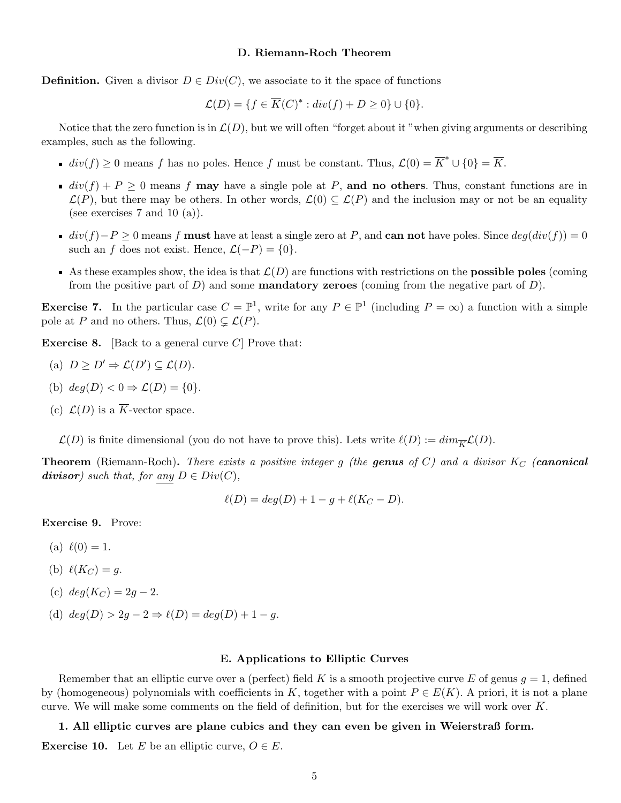## D. Riemann-Roch Theorem

**Definition.** Given a divisor  $D \in Div(C)$ , we associate to it the space of functions

$$
\mathcal{L}(D) = \{ f \in \overline{K}(C)^* : div(f) + D \ge 0 \} \cup \{ 0 \}.
$$

Notice that the zero function is in  $\mathcal{L}(D)$ , but we will often "forget about it "when giving arguments or describing" examples, such as the following.

- $div(f) \geq 0$  means f has no poles. Hence f must be constant. Thus,  $\mathcal{L}(0) = \overline{K}^* \cup \{0\} = \overline{K}$ .
- div(f) + P geq 0 means f may have a single pole at P, and no others. Thus, constant functions are in  $\mathcal{L}(P)$ , but there may be others. In other words,  $\mathcal{L}(0) \subseteq \mathcal{L}(P)$  and the inclusion may or not be an equality (see exercises 7 and 10  $(a)$ ).
- $div(f)-P \geq 0$  means f must have at least a single zero at P, and can not have poles. Since  $deg(div(f)) = 0$ such an f does not exist. Hence,  $\mathcal{L}(-P) = \{0\}.$
- As these examples show, the idea is that  $\mathcal{L}(D)$  are functions with restrictions on the **possible poles** (coming from the positive part of D) and some **mandatory zeroes** (coming from the negative part of D).

**Exercise 7.** In the particular case  $C = \mathbb{P}^1$ , write for any  $P \in \mathbb{P}^1$  (including  $P = \infty$ ) a function with a simple pole at P and no others. Thus,  $\mathcal{L}(0) \subsetneq \mathcal{L}(P)$ .

**Exercise 8.** [Back to a general curve  $C$ ] Prove that:

(a) 
$$
D \geq D' \Rightarrow \mathcal{L}(D') \subseteq \mathcal{L}(D)
$$
.

- (b)  $deg(D) < 0 \Rightarrow \mathcal{L}(D) = \{0\}.$
- (c)  $\mathcal{L}(D)$  is a  $\overline{K}$ -vector space.

 $\mathcal{L}(D)$  is finite dimensional (you do not have to prove this). Lets write  $\ell(D) := dim_{\overline{K}}\mathcal{L}(D)$ .

**Theorem** (Riemann-Roch). There exists a positive integer g (the genus of C) and a divisor  $K_C$  (canonical divisor) such that, for any  $D \in Div(C)$ ,

$$
\ell(D) = deg(D) + 1 - g + \ell(K_C - D).
$$

Exercise 9. Prove:

- (a)  $\ell(0) = 1$ .
- (b)  $\ell(K_C) = q$ .
- (c)  $deg(K_C) = 2q 2$ .
- (d)  $deg(D) > 2g 2 \Rightarrow \ell(D) = deg(D) + 1 g$ .

## E. Applications to Elliptic Curves

Remember that an elliptic curve over a (perfect) field K is a smooth projective curve E of genus  $q = 1$ , defined by (homogeneous) polynomials with coefficients in K, together with a point  $P \in E(K)$ . A priori, it is not a plane curve. We will make some comments on the field of definition, but for the exercises we will work over  $\overline{K}$ .

1. All elliptic curves are plane cubics and they can even be given in Weierstraß form.

**Exercise 10.** Let E be an elliptic curve,  $O \in E$ .